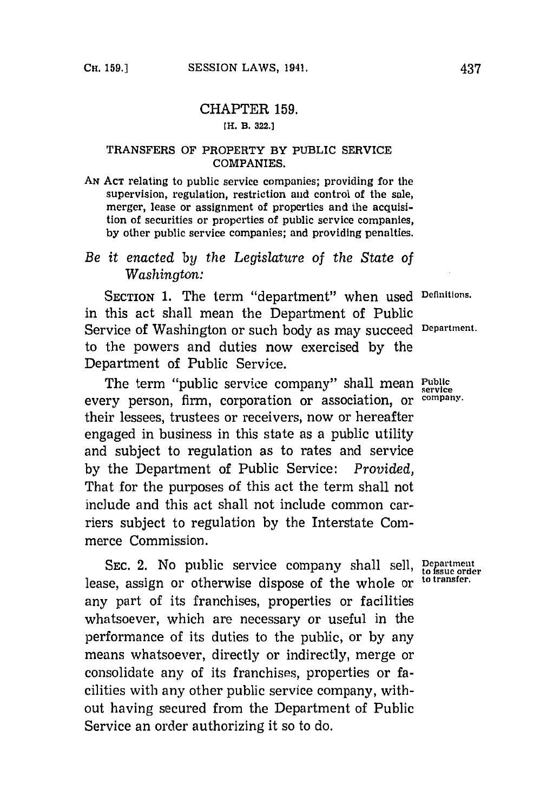## CHAPTER **159.**

## **[H. B. 322.]**

## **TRANSFERS OF PROPERTY BY PUBLIC SERVICE COMPANIES.**

**AN ACT** relating to public service companies; providing for the supervision, regulation, restriction and control of the sale, merger, lease or assignment of properties and the acquisition of securities or properties of public service companies, **by** other public service companies; and providing penalties.

## *Be it enacted by the Legislature of the State of Washington:*

**SECTION 1.** The term "department" when used **Deffinitions.** in this act shall mean the Department of Public Service of Washington or such body as may succeed **Department.** to the powers and duties now exercised **by** the Department of Public Service.

The term "public service company" shall mean **Public service** every person, firm, corporation or association, or **company.** their lessees, trustees or receivers, now or hereafter engaged in business in this state as a public utility and subject to regulation as to rates and service **by** the Department of Public Service: *Provided,* That for the purposes of this act the term shall not include and this act shall not include common carriers subject to regulation **by** the Interstate Commerce Commission.

SEC. 2. No public service company shall sell, **Department** lease, assign or otherwise dispose of the whole or <sup>to transfer.</sup> any part of its franchises, properties or facilities whatsoever, which are necessary or useful in the performance of its duties to the public, or **by** any means whatsoever, directly or indirectly, merge or consolidate any of its franchises, properties or facilities with any other public service company, without having secured from the Department of Public Service an order authorizing it so to do.